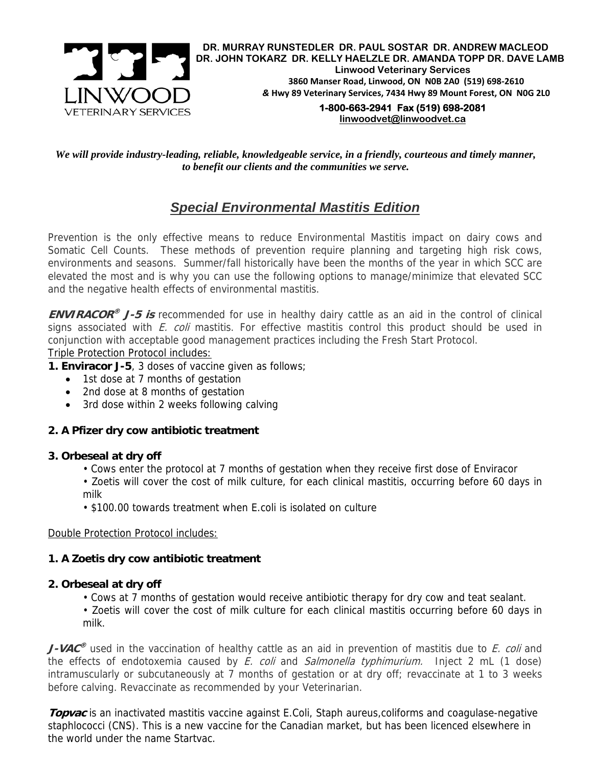

*We will provide industry-leading, reliable, knowledgeable service, in a friendly, courteous and timely manner, to benefit our clients and the communities we serve.* 

# *Special Environmental Mastitis Edition*

Prevention is the only effective means to reduce Environmental Mastitis impact on dairy cows and Somatic Cell Counts. These methods of prevention require planning and targeting high risk cows, environments and seasons. Summer/fall historically have been the months of the year in which SCC are elevated the most and is why you can use the following options to manage/minimize that elevated SCC and the negative health effects of environmental mastitis.

**ENVIRACOR® J-5 is** recommended for use in healthy dairy cattle as an aid in the control of clinical signs associated with  $E.$  coli mastitis. For effective mastitis control this product should be used in conjunction with acceptable good management practices including the Fresh Start Protocol.

Triple Protection Protocol includes:

# **1. Enviracor J-5**, 3 doses of vaccine given as follows;

- 1st dose at 7 months of gestation
- 2nd dose at 8 months of gestation
- 3rd dose within 2 weeks following calving

# **2. A Pfizer dry cow antibiotic treatment**

#### **3. Orbeseal at dry off**

- Cows enter the protocol at 7 months of gestation when they receive first dose of Enviracor
- Zoetis will cover the cost of milk culture, for each clinical mastitis, occurring before 60 days in milk
- \$100.00 towards treatment when E.coli is isolated on culture

#### Double Protection Protocol includes:

# **1. A Zoetis dry cow antibiotic treatment**

# **2. Orbeseal at dry off**

• Cows at 7 months of gestation would receive antibiotic therapy for dry cow and teat sealant.

• Zoetis will cover the cost of milk culture for each clinical mastitis occurring before 60 days in milk.

**J-VAC<sup>®</sup>** used in the vaccination of healthy cattle as an aid in prevention of mastitis due to E. coli and the effects of endotoxemia caused by  $E.$  coli and Salmonella typhimurium. Inject 2 mL (1 dose) intramuscularly or subcutaneously at 7 months of gestation or at dry off; revaccinate at 1 to 3 weeks before calving. Revaccinate as recommended by your Veterinarian.

**Topvac** is an inactivated mastitis vaccine against E.Coli, Staph aureus, coliforms and coagulase-negative staphlococci (CNS). This is a new vaccine for the Canadian market, but has been licenced elsewhere in the world under the name Startvac.